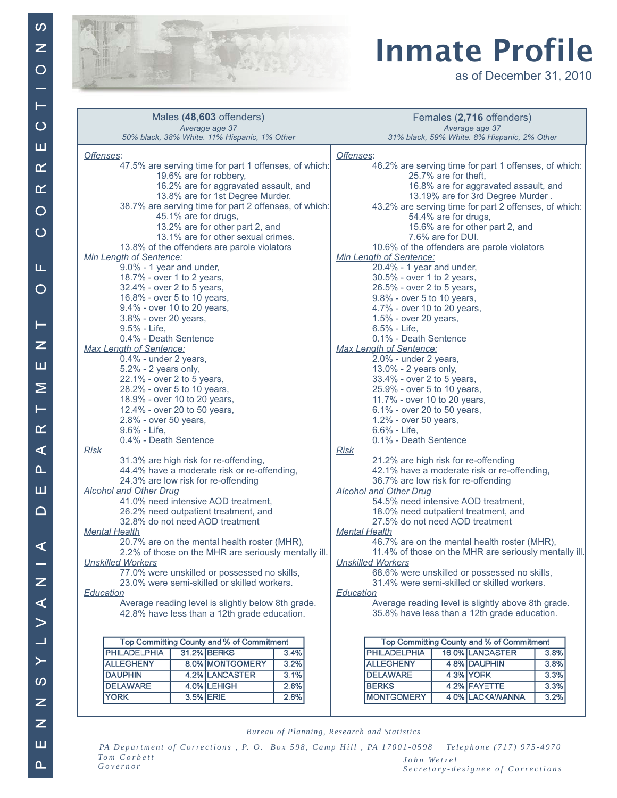

## **Inmate Profile**

as of December 31, 2010

| Males (48,603 offenders)                                                        | Females (2,716 offenders)                                                     |  |
|---------------------------------------------------------------------------------|-------------------------------------------------------------------------------|--|
| Average age 37<br>50% black, 38% White. 11% Hispanic, 1% Other                  | Average age 37<br>31% black, 59% White. 8% Hispanic, 2% Other                 |  |
|                                                                                 |                                                                               |  |
| Offenses:                                                                       | Offenses:                                                                     |  |
| 47.5% are serving time for part 1 offenses, of which:<br>19.6% are for robbery, | 46.2% are serving time for part 1 offenses, of which:<br>25.7% are for theft. |  |
| 16.2% are for aggravated assault, and                                           |                                                                               |  |
| 13.8% are for 1st Degree Murder.                                                | 16.8% are for aggravated assault, and<br>13.19% are for 3rd Degree Murder.    |  |
| 38.7% are serving time for part 2 offenses, of which:                           |                                                                               |  |
| 45.1% are for drugs,                                                            | 43.2% are serving time for part 2 offenses, of which:<br>54.4% are for drugs, |  |
| 13.2% are for other part 2, and                                                 | 15.6% are for other part 2, and                                               |  |
| 13.1% are for other sexual crimes.                                              | 7.6% are for DUI.                                                             |  |
| 13.8% of the offenders are parole violators                                     | 10.6% of the offenders are parole violators                                   |  |
| Min Length of Sentence:                                                         | Min Length of Sentence:                                                       |  |
| 9.0% - 1 year and under,                                                        | 20.4% - 1 year and under,                                                     |  |
| 18.7% - over 1 to 2 years,                                                      | 30.5% - over 1 to 2 years,                                                    |  |
| 32.4% - over 2 to 5 years,                                                      | 26.5% - over 2 to 5 years,                                                    |  |
| 16.8% - over 5 to 10 years,                                                     | 9.8% - over 5 to 10 years,                                                    |  |
| 9.4% - over 10 to 20 years,                                                     | 4.7% - over 10 to 20 years,                                                   |  |
| 3.8% - over 20 years,                                                           | 1.5% - over 20 years,                                                         |  |
| 9.5% - Life,                                                                    | $6.5% - Life,$                                                                |  |
| 0.4% - Death Sentence                                                           | 0.1% - Death Sentence                                                         |  |
| <b>Max Length of Sentence:</b>                                                  | <b>Max Length of Sentence:</b>                                                |  |
| 0.4% - under 2 years,                                                           | 2.0% - under 2 years,                                                         |  |
| $5.2\%$ - 2 years only,                                                         | 13.0% - 2 years only,                                                         |  |
| 22.1% - over 2 to 5 years,                                                      | 33.4% - over 2 to 5 years,                                                    |  |
| 28.2% - over 5 to 10 years,                                                     | 25.9% - over 5 to 10 years,                                                   |  |
| 18.9% - over 10 to 20 years,                                                    | 11.7% - over 10 to 20 years,                                                  |  |
| 12.4% - over 20 to 50 years,                                                    | 6.1% - over 20 to 50 years,                                                   |  |
| 2.8% - over 50 years,                                                           | 1.2% - over 50 years,                                                         |  |
| $9.6\%$ - Life,                                                                 | 6.6% - Life,                                                                  |  |
| 0.4% - Death Sentence                                                           | 0.1% - Death Sentence                                                         |  |
| <b>Risk</b>                                                                     | <b>Risk</b>                                                                   |  |
| 31.3% are high risk for re-offending,                                           | 21.2% are high risk for re-offending                                          |  |
| 44.4% have a moderate risk or re-offending,                                     | 42.1% have a moderate risk or re-offending,                                   |  |
| 24.3% are low risk for re-offending                                             | 36.7% are low risk for re-offending                                           |  |
| <b>Alcohol and Other Drug</b>                                                   | <b>Alcohol and Other Drug</b><br>54.5% need intensive AOD treatment,          |  |
| 41.0% need intensive AOD treatment,                                             |                                                                               |  |
| 26.2% need outpatient treatment, and<br>32.8% do not need AOD treatment         | 18.0% need outpatient treatment, and<br>27.5% do not need AOD treatment       |  |
| <b>Mental Health</b>                                                            | <b>Mental Health</b>                                                          |  |
| 20.7% are on the mental health roster (MHR),                                    | 46.7% are on the mental health roster (MHR),                                  |  |
| 2.2% of those on the MHR are seriously mentally ill.                            | 11.4% of those on the MHR are seriously mentally ill.                         |  |
| <b>Unskilled Workers</b>                                                        | <b>Unskilled Workers</b>                                                      |  |
| 77.0% were unskilled or possessed no skills,                                    | 68.6% were unskilled or possessed no skills,                                  |  |
| 23.0% were semi-skilled or skilled workers.                                     | 31.4% were semi-skilled or skilled workers.                                   |  |
| Education                                                                       | Education                                                                     |  |
| Average reading level is slightly below 8th grade.                              | Average reading level is slightly above 8th grade.                            |  |
| 42.8% have less than a 12th grade education.                                    | 35.8% have less than a 12th grade education.                                  |  |
|                                                                                 |                                                                               |  |
| Top Committing County and % of Commitment                                       | Top Committing County and % of Commitment                                     |  |
| <b>PHILADELPHIA</b><br>31.2% BERKS<br>3.4%                                      | <b>PHILADELPHIA</b><br>16.0% LANCASTER<br>3.8%                                |  |
| <b>ALLEGHENY</b><br>8.0% MONTGOMERY<br>3.2%                                     | <b>ALLEGHENY</b><br>4.8% DAUPHIN<br>3.8%                                      |  |
| <b>DAUPHIN</b><br>4.2% LANCASTER                                                | <b>DELAWARE</b><br>3.3%                                                       |  |
| 3.1%                                                                            | 4.3% YORK                                                                     |  |
| <b>DELAWARE</b><br>4.0% LEHIGH<br>2.6%<br><b>YORK</b><br>3.5% ERIE              | 4.2% FAYETTE<br><b>BERKS</b><br>3.3%<br><b>MONTGOMERY</b>                     |  |
| 2.6%                                                                            | 4.0% LACKAWANNA<br>3.2%                                                       |  |
|                                                                                 |                                                                               |  |

Bureau of Planning, Research and Statistics

PA Department of Corrections, P. O. Box 598, Camp Hill, PA 17001-0598 Telephone (717) 975-4970  $\operatorname{Tom}$   $\operatorname{Corbett}$  $\label{eq:1} John \hspace{2mm} We \hspace{1mm} t z \hspace{1mm} e \hspace{1mm} l$  $Governor$ Secretary-designee of Corrections